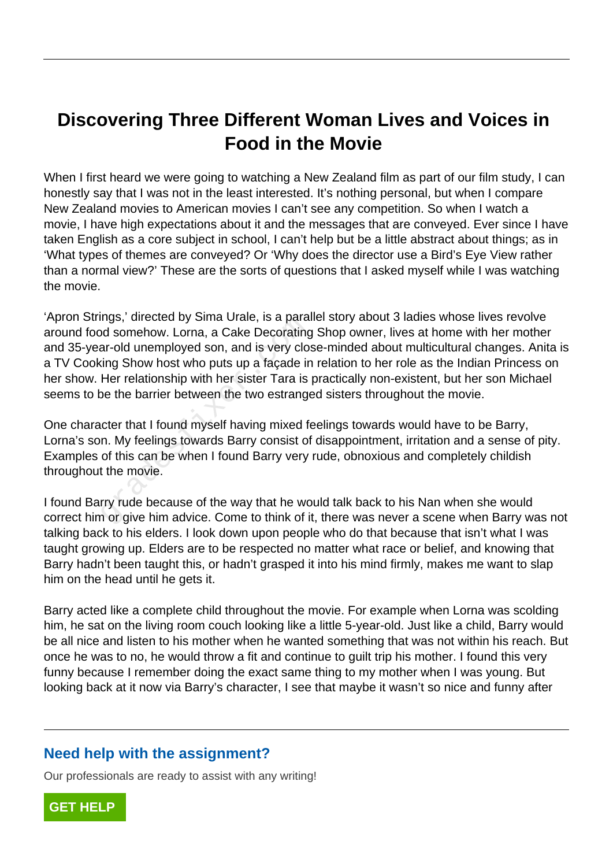## **Discovering Three Different Woman Lives and Voices in Food in the Movie**

When I first heard we were going to watching a New Zealand film as part of our film study, I can honestly say that I was not in the least interested. It's nothing personal, but when I compare New Zealand movies to American movies I can't see any competition. So when I watch a movie, I have high expectations about it and the messages that are conveyed. Ever since I have taken English as a core subject in school, I can't help but be a little abstract about things; as in 'What types of themes are conveyed? Or 'Why does the director use a Bird's Eye View rather than a normal view?' These are the sorts of questions that I asked myself while I was watching the movie.

'Apron Strings,' directed by Sima Urale, is a parallel story about 3 ladies whose lives revolve around food somehow. Lorna, a Cake Decorating Shop owner, lives at home with her mother and 35-year-old unemployed son, and is very close-minded about multicultural changes. Anita is a TV Cooking Show host who puts up a façade in relation to her role as the Indian Princess on her show. Her relationship with her sister Tara is practically non-existent, but her son Michael seems to be the barrier between the two estranged sisters throughout the movie. rigs, directed by Sima Oraie, is a para<br>od somehow. Lorna, a Cake Decorating<br>ar-old unemployed son, and is very clo<br>ting Show host who puts up a façade ir<br>Her relationship with her sister Tara is<br>be the barrier between the

One character that I found myself having mixed feelings towards would have to be Barry, Lorna's son. My feelings towards Barry consist of disappointment, irritation and a sense of pity. Examples of this can be when I found Barry very rude, obnoxious and completely childish throughout the movie.

I found Barry rude because of the way that he would talk back to his Nan when she would correct him or give him advice. Come to think of it, there was never a scene when Barry was not talking back to his elders. I look down upon people who do that because that isn't what I was taught growing up. Elders are to be respected no matter what race or belief, and knowing that Barry hadn't been taught this, or hadn't grasped it into his mind firmly, makes me want to slap him on the head until he gets it.

Barry acted like a complete child throughout the movie. For example when Lorna was scolding him, he sat on the living room couch looking like a little 5-year-old. Just like a child, Barry would be all nice and listen to his mother when he wanted something that was not within his reach. But once he was to no, he would throw a fit and continue to guilt trip his mother. I found this very funny because I remember doing the exact same thing to my mother when I was young. But looking back at it now via Barry's character, I see that maybe it wasn't so nice and funny after

## **Need help with the assignment?**

Our professionals are ready to assist with any writing!

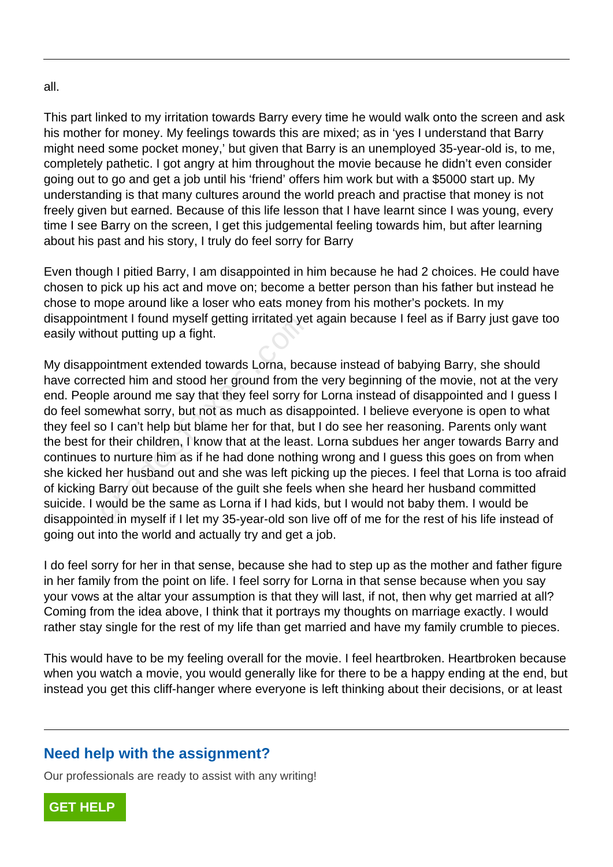all.

This part linked to my irritation towards Barry every time he would walk onto the screen and ask his mother for money. My feelings towards this are mixed; as in 'yes I understand that Barry might need some pocket money,' but given that Barry is an unemployed 35-year-old is, to me, completely pathetic. I got angry at him throughout the movie because he didn't even consider going out to go and get a job until his 'friend' offers him work but with a \$5000 start up. My understanding is that many cultures around the world preach and practise that money is not freely given but earned. Because of this life lesson that I have learnt since I was young, every time I see Barry on the screen, I get this judgemental feeling towards him, but after learning about his past and his story, I truly do feel sorry for Barry

Even though I pitied Barry, I am disappointed in him because he had 2 choices. He could have chosen to pick up his act and move on; become a better person than his father but instead he chose to mope around like a loser who eats money from his mother's pockets. In my disappointment I found myself getting irritated yet again because I feel as if Barry just gave too easily without putting up a fight.

My disappointment extended towards Lorna, because instead of babying Barry, she should have corrected him and stood her ground from the very beginning of the movie, not at the very end. People around me say that they feel sorry for Lorna instead of disappointed and I guess I do feel somewhat sorry, but not as much as disappointed. I believe everyone is open to what they feel so I can't help but blame her for that, but I do see her reasoning. Parents only want the best for their children, I know that at the least. Lorna subdues her anger towards Barry and continues to nurture him as if he had done nothing wrong and I guess this goes on from when she kicked her husband out and she was left picking up the pieces. I feel that Lorna is too afraid of kicking Barry out because of the guilt she feels when she heard her husband committed suicide. I would be the same as Lorna if I had kids, but I would not baby them. I would be disappointed in myself if I let my 35-year-old son live off of me for the rest of his life instead of going out into the world and actually try and get a job. ment Tround myself getting finlated year<br>out putting up a fight.<br>ointment extended towards Lorna, bec<br>ected him and stood her ground from th<br>le around me say that they feel sorry for<br>mewhat sorry, but not as much as disal<br>

I do feel sorry for her in that sense, because she had to step up as the mother and father figure in her family from the point on life. I feel sorry for Lorna in that sense because when you say your vows at the altar your assumption is that they will last, if not, then why get married at all? Coming from the idea above, I think that it portrays my thoughts on marriage exactly. I would rather stay single for the rest of my life than get married and have my family crumble to pieces.

This would have to be my feeling overall for the movie. I feel heartbroken. Heartbroken because when you watch a movie, you would generally like for there to be a happy ending at the end, but instead you get this cliff-hanger where everyone is left thinking about their decisions, or at least

## **Need help with the assignment?**

Our professionals are ready to assist with any writing!